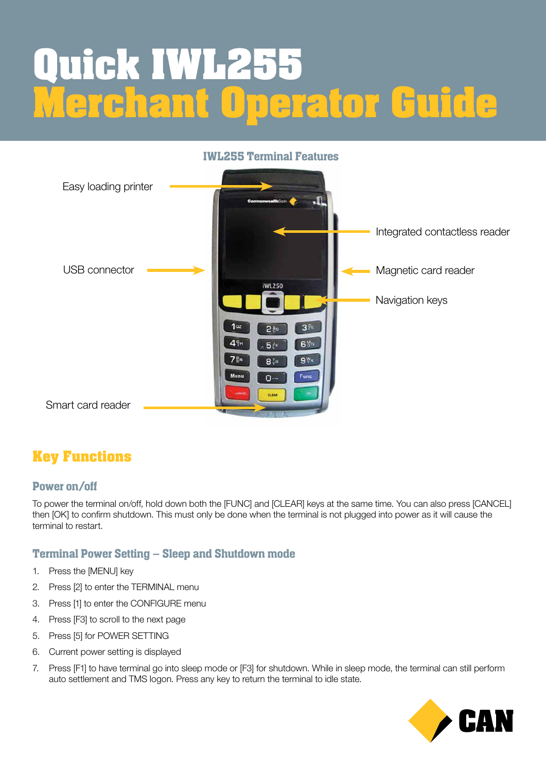# **Quick IWL255 Merchant Operator Guide**



# **Key Functions**

#### Power on/off

To power the terminal on/off, hold down both the [FUNC] and [CLEAR] keys at the same time. You can also press [CANCEL] then [OK] to confirm shutdown. This must only be done when the terminal is not plugged into power as it will cause the terminal to restart.

## Terminal Power Setting – Sleep and Shutdown mode

- 1. Press the [MENU] key
- 2. Press [2] to enter the TERMINAL menu
- 3. Press [1] to enter the CONFIGURE menu
- 4. Press [F3] to scroll to the next page
- 5. Press [5] for POWER SETTING
- 6. Current power setting is displayed
- 7. Press [F1] to have terminal go into sleep mode or [F3] for shutdown. While in sleep mode, the terminal can still perform auto settlement and TMS logon. Press any key to return the terminal to idle state.

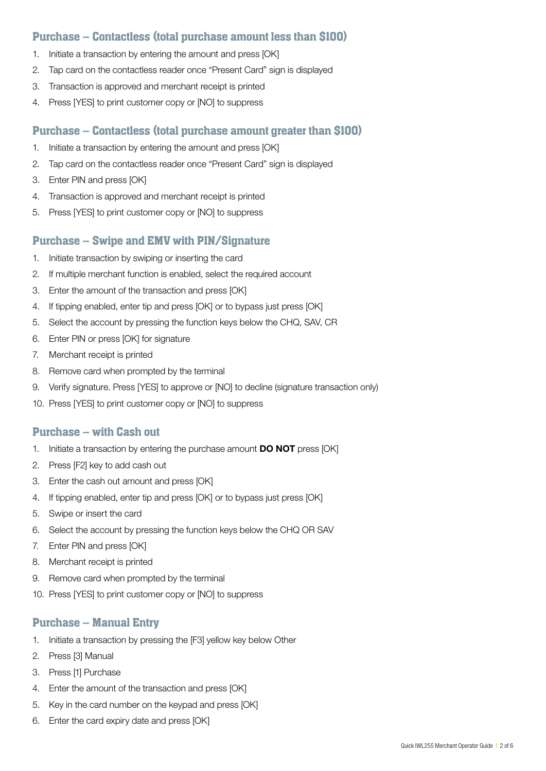#### Purchase – Contactless (total purchase amount less than \$100)

- 1. Initiate a transaction by entering the amount and press [OK]
- 2. Tap card on the contactless reader once "Present Card" sign is displayed
- 3. Transaction is approved and merchant receipt is printed
- 4. Press [YES] to print customer copy or [NO] to suppress

#### Purchase – Contactless (total purchase amount greater than \$100)

- 1. Initiate a transaction by entering the amount and press [OK]
- 2. Tap card on the contactless reader once "Present Card" sign is displayed
- 3. Enter PIN and press [OK]
- 4. Transaction is approved and merchant receipt is printed
- 5. Press [YES] to print customer copy or [NO] to suppress

#### Purchase – Swipe and EMV with PIN/Signature

- 1. Initiate transaction by swiping or inserting the card
- 2. If multiple merchant function is enabled, select the required account
- 3. Enter the amount of the transaction and press [OK]
- 4. If tipping enabled, enter tip and press [OK] or to bypass just press [OK]
- 5. Select the account by pressing the function keys below the CHQ, SAV, CR
- 6. Enter PIN or press [OK] for signature
- 7. Merchant receipt is printed
- 8. Remove card when prompted by the terminal
- 9. Verify signature. Press [YES] to approve or [NO] to decline (signature transaction only)
- 10. Press [YES] to print customer copy or [NO] to suppress

#### Purchase – with Cash out

- 1. Initiate a transaction by entering the purchase amount **DO NOT** press [OK]
- 2. Press [F2] key to add cash out
- 3. Enter the cash out amount and press [OK]
- 4. If tipping enabled, enter tip and press [OK] or to bypass just press [OK]
- 5. Swipe or insert the card
- 6. Select the account by pressing the function keys below the CHQ OR SAV
- 7. Enter PIN and press [OK]
- 8. Merchant receipt is printed
- 9. Remove card when prompted by the terminal
- 10. Press [YES] to print customer copy or [NO] to suppress

#### Purchase – Manual Entry

- 1. Initiate a transaction by pressing the [F3] yellow key below Other
- 2. Press [3] Manual
- 3. Press [1] Purchase
- 4. Enter the amount of the transaction and press [OK]
- 5. Key in the card number on the keypad and press [OK]
- 6. Enter the card expiry date and press [OK]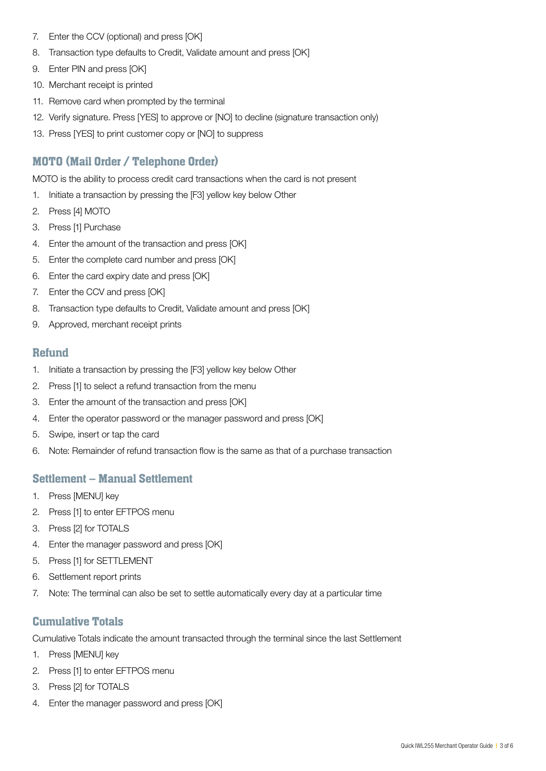- 7. Enter the CCV (optional) and press [OK]
- 8. Transaction type defaults to Credit, Validate amount and press [OK]
- 9. Enter PIN and press [OK]
- 10. Merchant receipt is printed
- 11. Remove card when prompted by the terminal
- 12. Verify signature. Press [YES] to approve or [NO] to decline (signature transaction only)
- 13. Press [YES] to print customer copy or [NO] to suppress

### MOTO (Mail Order / Telephone Order)

MOTO is the ability to process credit card transactions when the card is not present

- 1. Initiate a transaction by pressing the [F3] yellow key below Other
- 2. Press [4] MOTO
- 3. Press [1] Purchase
- 4. Enter the amount of the transaction and press [OK]
- 5. Enter the complete card number and press [OK]
- 6. Enter the card expiry date and press [OK]
- 7. Enter the CCV and press [OK]
- 8. Transaction type defaults to Credit, Validate amount and press [OK]
- 9. Approved, merchant receipt prints

#### Refund

- 1. Initiate a transaction by pressing the [F3] yellow key below Other
- 2. Press [1] to select a refund transaction from the menu
- 3. Enter the amount of the transaction and press [OK]
- 4. Enter the operator password or the manager password and press [OK]
- 5. Swipe, insert or tap the card
- 6. Note: Remainder of refund transaction flow is the same as that of a purchase transaction

#### Settlement – Manual Settlement

- 1. Press [MENU] key
- 2. Press [1] to enter EFTPOS menu
- 3. Press [2] for TOTALS
- 4. Enter the manager password and press [OK]
- 5. Press [1] for SETTLEMENT
- 6. Settlement report prints
- 7. Note: The terminal can also be set to settle automatically every day at a particular time

#### Cumulative Totals

Cumulative Totals indicate the amount transacted through the terminal since the last Settlement

- 1. Press [MENU] key
- 2. Press [1] to enter EFTPOS menu
- 3. Press [2] for TOTALS
- 4. Enter the manager password and press [OK]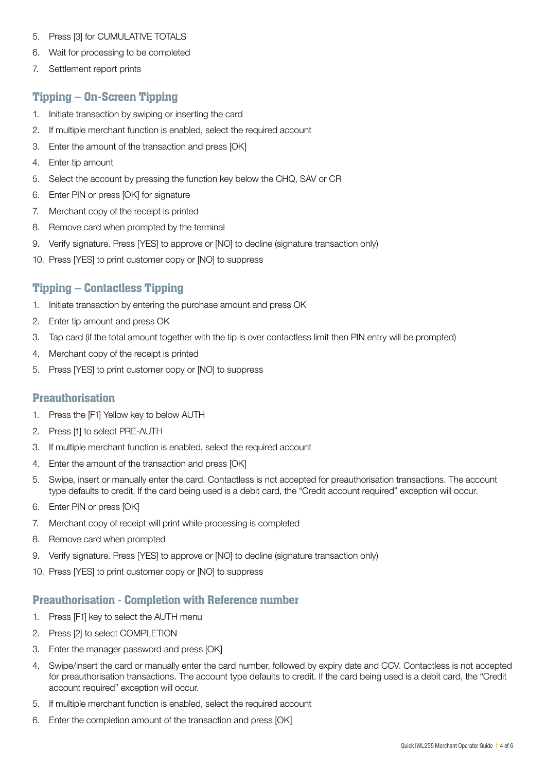- 5. Press [3] for CUMULATIVE TOTALS
- 6. Wait for processing to be completed
- 7. Settlement report prints

#### Tipping – On-Screen Tipping

- 1. Initiate transaction by swiping or inserting the card
- 2. If multiple merchant function is enabled, select the required account
- 3. Enter the amount of the transaction and press [OK]
- 4. Enter tip amount
- 5. Select the account by pressing the function key below the CHQ, SAV or CR
- 6. Enter PIN or press [OK] for signature
- 7. Merchant copy of the receipt is printed
- 8. Remove card when prompted by the terminal
- 9. Verify signature. Press [YES] to approve or [NO] to decline (signature transaction only)
- 10. Press [YES] to print customer copy or [NO] to suppress

#### Tipping – Contactless Tipping

- 1. Initiate transaction by entering the purchase amount and press OK
- 2. Enter tip amount and press OK
- 3. Tap card (if the total amount together with the tip is over contactless limit then PIN entry will be prompted)
- 4. Merchant copy of the receipt is printed
- 5. Press [YES] to print customer copy or [NO] to suppress

#### **Preauthorisation**

- 1. Press the [F1] Yellow key to below AUTH
- 2. Press [1] to select PRE-AUTH
- 3. If multiple merchant function is enabled, select the required account
- 4. Enter the amount of the transaction and press [OK]
- 5. Swipe, insert or manually enter the card. Contactless is not accepted for preauthorisation transactions. The account type defaults to credit. If the card being used is a debit card, the "Credit account required" exception will occur.
- 6. Enter PIN or press [OK]
- 7. Merchant copy of receipt will print while processing is completed
- 8. Remove card when prompted
- 9. Verify signature. Press [YES] to approve or [NO] to decline (signature transaction only)
- 10. Press [YES] to print customer copy or [NO] to suppress

#### Preauthorisation - Completion with Reference number

- 1. Press [F1] key to select the AUTH menu
- 2. Press [2] to select COMPLETION
- 3. Enter the manager password and press [OK]
- 4. Swipe/insert the card or manually enter the card number, followed by expiry date and CCV. Contactless is not accepted for preauthorisation transactions. The account type defaults to credit. If the card being used is a debit card, the "Credit account required" exception will occur.
- 5. If multiple merchant function is enabled, select the required account
- 6. Enter the completion amount of the transaction and press [OK]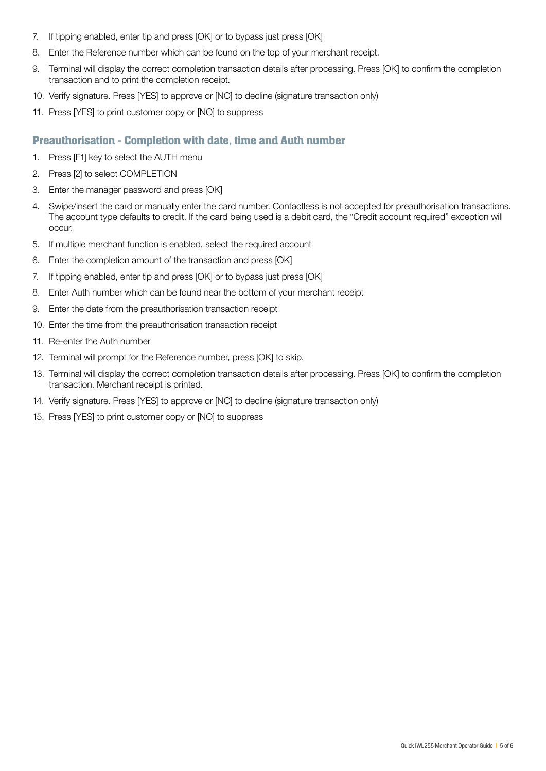- 7. If tipping enabled, enter tip and press [OK] or to bypass just press [OK]
- 8. Enter the Reference number which can be found on the top of your merchant receipt.
- 9. Terminal will display the correct completion transaction details after processing. Press [OK] to confirm the completion transaction and to print the completion receipt.
- 10. Verify signature. Press [YES] to approve or [NO] to decline (signature transaction only)
- 11. Press [YES] to print customer copy or [NO] to suppress

#### Preauthorisation - Completion with date, time and Auth number

- 1. Press [F1] key to select the AUTH menu
- 2. Press [2] to select COMPLETION
- 3. Enter the manager password and press [OK]
- 4. Swipe/insert the card or manually enter the card number. Contactless is not accepted for preauthorisation transactions. The account type defaults to credit. If the card being used is a debit card, the "Credit account required" exception will occur.
- 5. If multiple merchant function is enabled, select the required account
- 6. Enter the completion amount of the transaction and press [OK]
- 7. If tipping enabled, enter tip and press [OK] or to bypass just press [OK]
- 8. Enter Auth number which can be found near the bottom of your merchant receipt
- 9. Enter the date from the preauthorisation transaction receipt
- 10. Enter the time from the preauthorisation transaction receipt
- 11. Re-enter the Auth number
- 12. Terminal will prompt for the Reference number, press [OK] to skip.
- 13. Terminal will display the correct completion transaction details after processing. Press [OK] to confirm the completion transaction. Merchant receipt is printed.
- 14. Verify signature. Press [YES] to approve or [NO] to decline (signature transaction only)
- 15. Press [YES] to print customer copy or [NO] to suppress